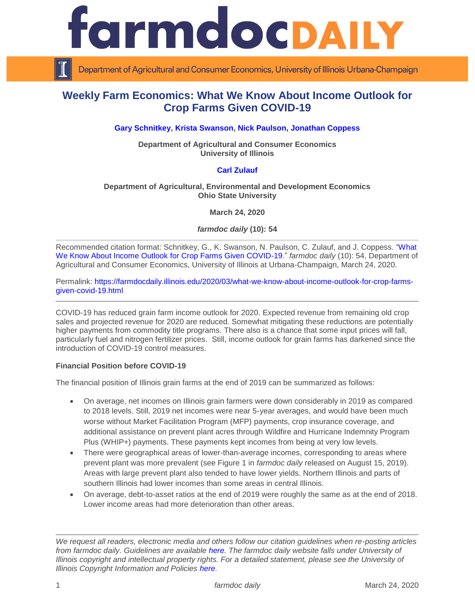

Department of Agricultural and Consumer Economics, University of Illinois Urbana-Champaign

# **Weekly Farm Economics: What We Know About Income Outlook for Crop Farms Given COVID-19**

## **Gary [Schnitkey,](https://ace.illinois.edu/directory/schnitke) [Krista Swanson,](https://ace.illinois.edu/directory/krista) [Nick Paulson,](https://ace.illinois.edu/directory/npaulson) [Jonathan Coppess](https://ace.illinois.edu/directory/jwcoppes)**

**Department of Agricultural and Consumer Economics University of Illinois**

## **[Carl Zulauf](http://aede.osu.edu/our-people/carl-zulauf)**

#### **Department of Agricultural, Environmental and Development Economics Ohio State University**

**March 24, 2020**

*farmdoc daily* **(10): 54**

Recommended citation format: Schnitkey, G., K. Swanson, N. Paulson, C. Zulauf, and J. Coppess. ["What](https://farmdocdaily.illinois.edu/2020/03/what-we-know-about-income-outlook-for-crop-farms-given-covid-19.html)  [We Know About Income Outlook for Crop Farms Given COVID-19.](https://farmdocdaily.illinois.edu/2020/03/what-we-know-about-income-outlook-for-crop-farms-given-covid-19.html)" *farmdoc daily* (10): 54, Department of Agricultural and Consumer Economics, University of Illinois at Urbana-Champaign, March 24, 2020.

Permalink: [https://farmdocdaily.illinois.edu/2020/03/what-we-know-about-income-outlook-for-crop-farms](https://farmdocdaily.illinois.edu/2020/03/what-we-know-about-income-outlook-for-crop-farms-given-covid-19.html)[given-covid-19.html](https://farmdocdaily.illinois.edu/2020/03/what-we-know-about-income-outlook-for-crop-farms-given-covid-19.html)

COVID-19 has reduced grain farm income outlook for 2020. Expected revenue from remaining old crop sales and projected revenue for 2020 are reduced. Somewhat mitigating these reductions are potentially higher payments from commodity title programs. There also is a chance that some input prices will fall, particularly fuel and nitrogen fertilizer prices. Still, income outlook for grain farms has darkened since the introduction of COVID-19 control measures.

#### **Financial Position before COVID-19**

The financial position of Illinois grain farms at the end of 2019 can be summarized as follows:

- On average, net incomes on Illinois grain farmers were down considerably in 2019 as compared to 2018 levels. Still, 2019 net incomes were near 5-year averages, and would have been much worse without Market Facilitation Program (MFP) payments, crop insurance coverage, and additional assistance on prevent plant acres through Wildfire and Hurricane Indemnity Program Plus (WHIP+) payments. These payments kept incomes from being at very low levels.
- There were geographical areas of lower-than-average incomes, corresponding to areas where prevent plant was more prevalent (see Figure 1 in *farmdoc daily* released on August 15, 2019). Areas with large prevent plant also tended to have lower yields. Northern Illinois and parts of southern Illinois had lower incomes than some areas in central Illinois.
- On average, debt-to-asset ratios at the end of 2019 were roughly the same as at the end of 2018. Lower income areas had more deterioration than other areas.

*We request all readers, electronic media and others follow our citation guidelines when re-posting articles from farmdoc daily. Guidelines are available [here.](http://farmdocdaily.illinois.edu/citationguide.html) The farmdoc daily website falls under University of Illinois copyright and intellectual property rights. For a detailed statement, please see the University of Illinois Copyright Information and Policies [here.](http://www.cio.illinois.edu/policies/copyright/)*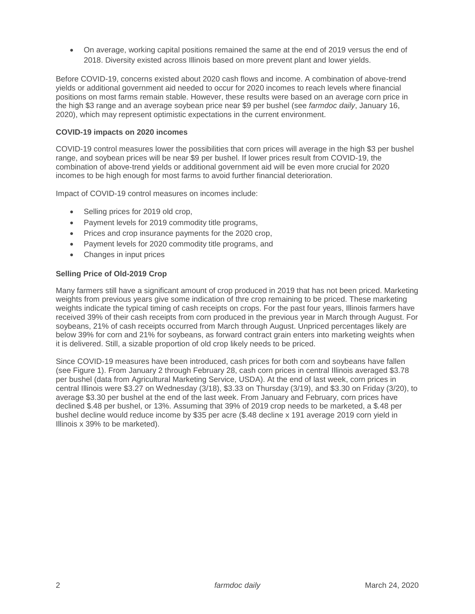On average, working capital positions remained the same at the end of 2019 versus the end of 2018. Diversity existed across Illinois based on more prevent plant and lower yields.

Before COVID-19, concerns existed about 2020 cash flows and income. A combination of above-trend yields or additional government aid needed to occur for 2020 incomes to reach levels where financial positions on most farms remain stable. However, these results were based on an average corn price in the high \$3 range and an average soybean price near \$9 per bushel (see *farmdoc daily*, January 16, 2020), which may represent optimistic expectations in the current environment.

#### **COVID-19 impacts on 2020 incomes**

COVID-19 control measures lower the possibilities that corn prices will average in the high \$3 per bushel range, and soybean prices will be near \$9 per bushel. If lower prices result from COVID-19, the combination of above-trend yields or additional government aid will be even more crucial for 2020 incomes to be high enough for most farms to avoid further financial deterioration.

Impact of COVID-19 control measures on incomes include:

- Selling prices for 2019 old crop,
- Payment levels for 2019 commodity title programs,
- Prices and crop insurance payments for the 2020 crop,
- Payment levels for 2020 commodity title programs, and
- Changes in input prices

## **Selling Price of Old-2019 Crop**

Many farmers still have a significant amount of crop produced in 2019 that has not been priced. Marketing weights from previous years give some indication of thre crop remaining to be priced. These marketing weights indicate the typical timing of cash receipts on crops. For the past four years, Illinois farmers have received 39% of their cash receipts from corn produced in the previous year in March through August. For soybeans, 21% of cash receipts occurred from March through August. Unpriced percentages likely are below 39% for corn and 21% for soybeans, as forward contract grain enters into marketing weights when it is delivered. Still, a sizable proportion of old crop likely needs to be priced.

Since COVID-19 measures have been introduced, cash prices for both corn and soybeans have fallen (see Figure 1). From January 2 through February 28, cash corn prices in central Illinois averaged \$3.78 per bushel (data from Agricultural Marketing Service, USDA). At the end of last week, corn prices in central Illinois were \$3.27 on Wednesday (3/18), \$3.33 on Thursday (3/19), and \$3.30 on Friday (3/20), to average \$3.30 per bushel at the end of the last week. From January and February, corn prices have declined \$.48 per bushel, or 13%. Assuming that 39% of 2019 crop needs to be marketed, a \$.48 per bushel decline would reduce income by \$35 per acre (\$.48 decline x 191 average 2019 corn yield in Illinois x 39% to be marketed).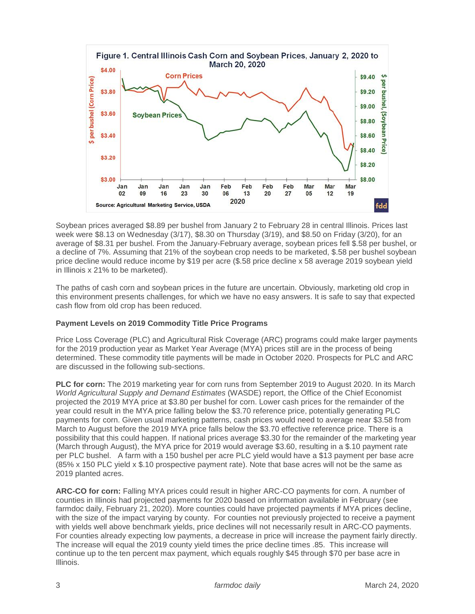

Soybean prices averaged \$8.89 per bushel from January 2 to February 28 in central Illinois. Prices last week were \$8.13 on Wednesday (3/17), \$8.30 on Thursday (3/19), and \$8.50 on Friday (3/20), for an average of \$8.31 per bushel. From the January-February average, soybean prices fell \$.58 per bushel, or a decline of 7%. Assuming that 21% of the soybean crop needs to be marketed, \$.58 per bushel soybean price decline would reduce income by \$19 per acre (\$.58 price decline x 58 average 2019 soybean yield in Illinois x 21% to be marketed).

The paths of cash corn and soybean prices in the future are uncertain. Obviously, marketing old crop in this environment presents challenges, for which we have no easy answers. It is safe to say that expected cash flow from old crop has been reduced.

# **Payment Levels on 2019 Commodity Title Price Programs**

Price Loss Coverage (PLC) and Agricultural Risk Coverage (ARC) programs could make larger payments for the 2019 production year as Market Year Average (MYA) prices still are in the process of being determined. These commodity title payments will be made in October 2020. Prospects for PLC and ARC are discussed in the following sub-sections.

**PLC for corn:** The 2019 marketing year for corn runs from September 2019 to August 2020. In its March *World Agricultural Supply and Demand Estimates* (WASDE) report, the Office of the Chief Economist projected the 2019 MYA price at \$3.80 per bushel for corn. Lower cash prices for the remainder of the year could result in the MYA price falling below the \$3.70 reference price, potentially generating PLC payments for corn. Given usual marketing patterns, cash prices would need to average near \$3.58 from March to August before the 2019 MYA price falls below the \$3.70 effective reference price. There is a possibility that this could happen. If national prices average \$3.30 for the remainder of the marketing year (March through August), the MYA price for 2019 would average \$3.60, resulting in a \$.10 payment rate per PLC bushel. A farm with a 150 bushel per acre PLC yield would have a \$13 payment per base acre (85% x 150 PLC yield x \$.10 prospective payment rate). Note that base acres will not be the same as 2019 planted acres.

**ARC-CO for corn:** Falling MYA prices could result in higher ARC-CO payments for corn. A number of counties in Illinois had projected payments for 2020 based on information available in February (see farmdoc daily, February 21, 2020). More counties could have projected payments if MYA prices decline, with the size of the impact varying by county. For counties not previously projected to receive a payment with yields well above benchmark yields, price declines will not necessarily result in ARC-CO payments. For counties already expecting low payments, a decrease in price will increase the payment fairly directly. The increase will equal the 2019 county yield times the price decline times .85. This increase will continue up to the ten percent max payment, which equals roughly \$45 through \$70 per base acre in Illinois.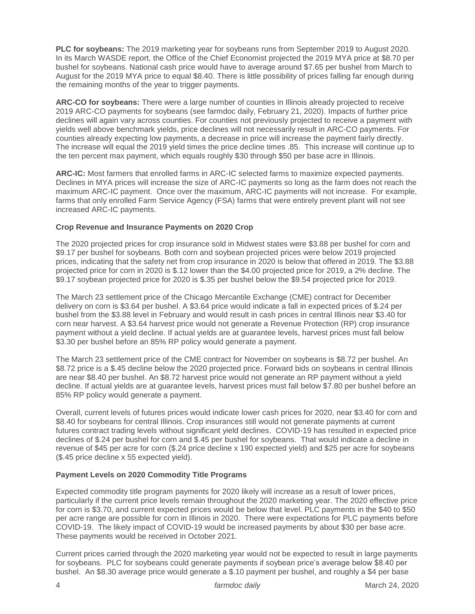**PLC for soybeans:** The 2019 marketing year for soybeans runs from September 2019 to August 2020. In its March WASDE report, the Office of the Chief Economist projected the 2019 MYA price at \$8.70 per bushel for soybeans. National cash price would have to average around \$7.65 per bushel from March to August for the 2019 MYA price to equal \$8.40. There is little possibility of prices falling far enough during the remaining months of the year to trigger payments.

**ARC-CO for soybeans:** There were a large number of counties in Illinois already projected to receive 2019 ARC-CO payments for soybeans (see farmdoc daily, February 21, 2020). Impacts of further price declines will again vary across counties. For counties not previously projected to receive a payment with yields well above benchmark yields, price declines will not necessarily result in ARC-CO payments. For counties already expecting low payments, a decrease in price will increase the payment fairly directly. The increase will equal the 2019 yield times the price decline times .85. This increase will continue up to the ten percent max payment, which equals roughly \$30 through \$50 per base acre in Illinois.

**ARC-IC:** Most farmers that enrolled farms in ARC-IC selected farms to maximize expected payments. Declines in MYA prices will increase the size of ARC-IC payments so long as the farm does not reach the maximum ARC-IC payment. Once over the maximum, ARC-IC payments will not increase. For example, farms that only enrolled Farm Service Agency (FSA) farms that were entirely prevent plant will not see increased ARC-IC payments.

## **Crop Revenue and Insurance Payments on 2020 Crop**

The 2020 projected prices for crop insurance sold in Midwest states were \$3.88 per bushel for corn and \$9.17 per bushel for soybeans. Both corn and soybean projected prices were below 2019 projected prices, indicating that the safety net from crop insurance in 2020 is below that offered in 2019. The \$3.88 projected price for corn in 2020 is \$.12 lower than the \$4.00 projected price for 2019, a 2% decline. The \$9.17 soybean projected price for 2020 is \$.35 per bushel below the \$9.54 projected price for 2019.

The March 23 settlement price of the Chicago Mercantile Exchange (CME) contract for December delivery on corn is \$3.64 per bushel. A \$3.64 price would indicate a fall in expected prices of \$.24 per bushel from the \$3.88 level in February and would result in cash prices in central Illinois near \$3.40 for corn near harvest. A \$3.64 harvest price would not generate a Revenue Protection (RP) crop insurance payment without a yield decline. If actual yields are at guarantee levels, harvest prices must fall below \$3.30 per bushel before an 85% RP policy would generate a payment.

The March 23 settlement price of the CME contract for November on soybeans is \$8.72 per bushel. An \$8.72 price is a \$.45 decline below the 2020 projected price. Forward bids on sovbeans in central Illinois are near \$8.40 per bushel. An \$8.72 harvest price would not generate an RP payment without a yield decline. If actual yields are at guarantee levels, harvest prices must fall below \$7.80 per bushel before an 85% RP policy would generate a payment.

Overall, current levels of futures prices would indicate lower cash prices for 2020, near \$3.40 for corn and \$8.40 for soybeans for central Illinois. Crop insurances still would not generate payments at current futures contract trading levels without significant yield declines. COVID-19 has resulted in expected price declines of \$.24 per bushel for corn and \$.45 per bushel for soybeans. That would indicate a decline in revenue of \$45 per acre for corn (\$.24 price decline x 190 expected yield) and \$25 per acre for soybeans (\$.45 price decline x 55 expected yield).

#### **Payment Levels on 2020 Commodity Title Programs**

Expected commodity title program payments for 2020 likely will increase as a result of lower prices, particularly if the current price levels remain throughout the 2020 marketing year. The 2020 effective price for corn is \$3.70, and current expected prices would be below that level. PLC payments in the \$40 to \$50 per acre range are possible for corn in Illinois in 2020. There were expectations for PLC payments before COVID-19. The likely impact of COVID-19 would be increased payments by about \$30 per base acre. These payments would be received in October 2021.

Current prices carried through the 2020 marketing year would not be expected to result in large payments for soybeans. PLC for soybeans could generate payments if soybean price's average below \$8.40 per bushel. An \$8.30 average price would generate a \$.10 payment per bushel, and roughly a \$4 per base